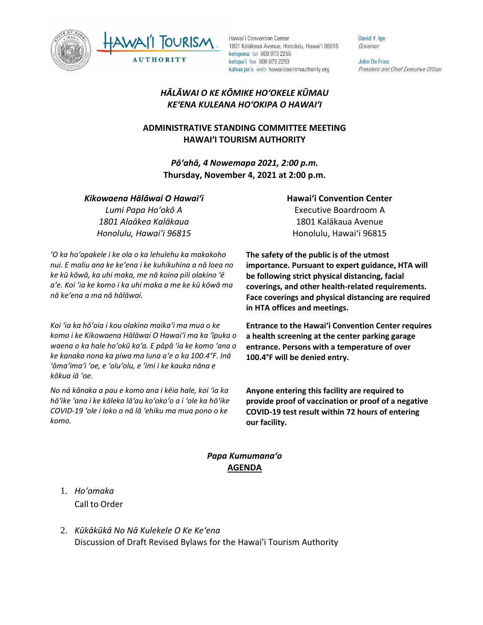



Hawai'i Convention Center 1801 Kalākaua Avenue, Honolulu, Hawai'i 96815 kelepona tel 808 973 2255 kelepa'i fax 808 973 2253 kahua pa'a web hawaiitourismauthority.org

David Y. Ige Governor

**John De Fries** President and Chief Executive Officer

# *HĀLĀWAI O KE KŌMIKE HOʻOKELE KŪMAU KEʻENA KULEANA HOʻOKIPA O HAWAIʻI*

# **ADMINISTRATIVE STANDING COMMITTEE MEETING HAWAI'I TOURISM AUTHORITY**

*Pōʻahā, 4 Nowemapa 2021, 2:00 p.m.* **Thursday, November 4, 2021 at 2:00 p.m.**

#### *Kikowaena Hālāwai O Hawaiʻi*

*Lumi Papa Hoʻokō A 1801 Alaākea Kalākaua Honolulu, Hawaiʻi 96815*

*ʻO ka hoʻopakele i ke ola o ka lehulehu ka makakoho nui. E maliu ana ke keʻena i ke kuhikuhina a nā loea no ke kū kōwā, ka uhi maka, me nā koina pili olakino ʻē aʻe. Koi ʻia ke komo i ka uhi maka a me ke kū kōwā ma nā keʻena a ma nā hālāwai.*

*Koi ʻia ka hōʻoia i kou olakino maikaʻi ma mua o ke komo i ke Kikowaena Hālāwai O Hawaiʻi ma ka ʻīpuka o waena o ka hale hoʻokū kaʻa. E pāpā ʻia ke komo ʻana o ke kanaka nona ka piwa ma luna aʻe o ka 100.4°F. Inā ʻōmaʻimaʻi ʻoe, e ʻoluʻolu, e ʻimi i ke kauka nāna e kōkua iā ʻoe.* 

*No nā kānaka a pau e komo ana i kēia hale, koi ʻia ka hōʻike ʻana i ke kāleka lāʻau koʻokoʻo a i ʻole ka hōʻike COVID-19 ʻole i loko o nā lā ʻehiku ma mua pono o ke komo.*

# **Hawaiʻi Convention Center** Executive Boardroom A 1801 Kalākaua Avenue Honolulu, Hawaiʻi 96815

**The safety of the public is of the utmost importance. Pursuant to expert guidance, HTA will be following strict physical distancing, facial coverings, and other health-related requirements. Face coverings and physical distancing are required in HTA offices and meetings.** 

**Entrance to the Hawaiʻi Convention Center requires a health screening at the center parking garage entrance. Persons with a temperature of over 100.4°F will be denied entry.** 

**Anyone entering this facility are required to provide proof of vaccination or proof of a negative COVID-19 test result within 72 hours of entering our facility.**

## *Papa Kumumanaʻo* **AGENDA**

- 1. *Ho'omaka* Call to Order
- 2. *Kūkākūkā No Nā Kulekele O Ke Keʻena* Discussion of Draft Revised Bylaws for the Hawai'i Tourism Authority